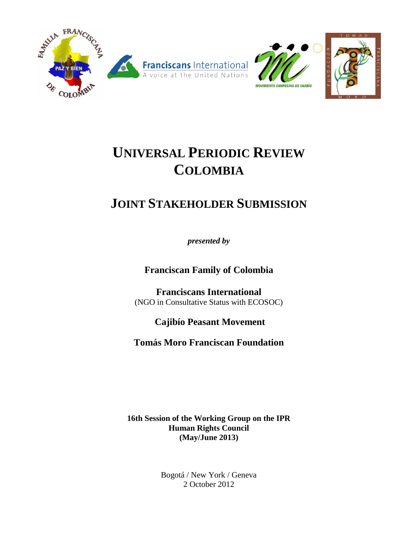

# **UNIVERSAL PERIODIC REVIEW COLOMBIA**

## **JOINT STAKEHOLDER SUBMISSION**

*presented by* 

**Franciscan Family of Colombia**

**Franciscans International**  (NGO in Consultative Status with ECOSOC)

**Cajibío Peasant Movement** 

**Tomás Moro Franciscan Foundation**

**16th Session of the Working Group on the IPR Human Rights Council (May/June 2013)**

> Bogotá / New York / Geneva 2 October 2012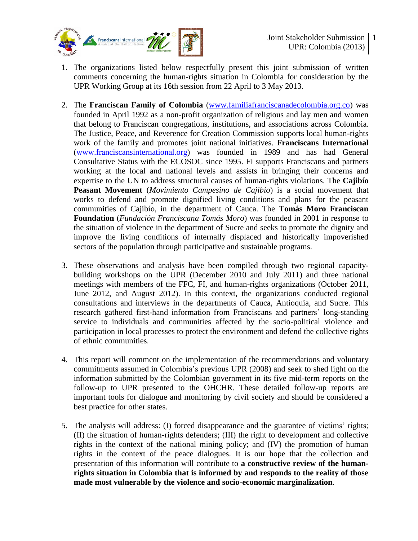

- 1. The organizations listed below respectfully present this joint submission of written comments concerning the human-rights situation in Colombia for consideration by the UPR Working Group at its 16th session from 22 April to 3 May 2013.
- 2. The **Franciscan Family of Colombia** [\(www.familiafranciscanadecolombia.org.co\)](http://www.familiafranciscanadecolombia.org.co/) was founded in April 1992 as a non-profit organization of religious and lay men and women that belong to Franciscan congregations, institutions, and associations across Colombia. The Justice, Peace, and Reverence for Creation Commission supports local human-rights work of the family and promotes joint national initiatives. **Franciscans International** [\(www.franciscansinternational.org\)](http://www.franciscansinternational.org/) was founded in 1989 and has had General Consultative Status with the ECOSOC since 1995. FI supports Franciscans and partners working at the local and national levels and assists in bringing their concerns and expertise to the UN to address structural causes of human-rights violations. The **Cajibío Peasant Movement** (*Movimiento Campesino de Cajibío*) is a social movement that works to defend and promote dignified living conditions and plans for the peasant communities of Cajibío, in the department of Cauca. The **Tomás Moro Franciscan Foundation** (*Fundación Franciscana Tomás Moro*) was founded in 2001 in response to the situation of violence in the department of Sucre and seeks to promote the dignity and improve the living conditions of internally displaced and historically impoverished sectors of the population through participative and sustainable programs.
- 3. These observations and analysis have been compiled through two regional capacitybuilding workshops on the UPR (December 2010 and July 2011) and three national meetings with members of the FFC, FI, and human-rights organizations (October 2011, June 2012, and August 2012). In this context, the organizations conducted regional consultations and interviews in the departments of Cauca, Antioquia, and Sucre. This research gathered first-hand information from Franciscans and partners' long-standing service to individuals and communities affected by the socio-political violence and participation in local processes to protect the environment and defend the collective rights of ethnic communities.
- 4. This report will comment on the implementation of the recommendations and voluntary commitments assumed in Colombia's previous UPR (2008) and seek to shed light on the information submitted by the Colombian government in its five mid-term reports on the follow-up to UPR presented to the OHCHR. These detailed follow-up reports are important tools for dialogue and monitoring by civil society and should be considered a best practice for other states.
- 5. The analysis will address: (I) forced disappearance and the guarantee of victims' rights; (II) the situation of human-rights defenders; (III) the right to development and collective rights in the context of the national mining policy; and (IV) the promotion of human rights in the context of the peace dialogues. It is our hope that the collection and presentation of this information will contribute to **a constructive review of the humanrights situation in Colombia that is informed by and responds to the reality of those made most vulnerable by the violence and socio-economic marginalization**.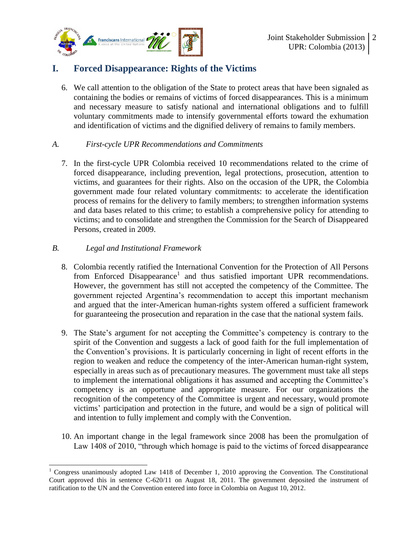

## **I. Forced Disappearance: Rights of the Victims**

6. We call attention to the obligation of the State to protect areas that have been signaled as containing the bodies or remains of victims of forced disappearances. This is a minimum and necessary measure to satisfy national and international obligations and to fulfill voluntary commitments made to intensify governmental efforts toward the exhumation and identification of victims and the dignified delivery of remains to family members.

#### *A. First-cycle UPR Recommendations and Commitments*

7. In the first-cycle UPR Colombia received 10 recommendations related to the crime of forced disappearance, including prevention, legal protections, prosecution, attention to victims, and guarantees for their rights. Also on the occasion of the UPR, the Colombia government made four related voluntary commitments: to accelerate the identification process of remains for the delivery to family members; to strengthen information systems and data bases related to this crime; to establish a comprehensive policy for attending to victims; and to consolidate and strengthen the Commission for the Search of Disappeared Persons, created in 2009.

#### *B. Legal and Institutional Framework*

- 8. Colombia recently ratified the International Convention for the Protection of All Persons from Enforced Disappearance<sup>1</sup> and thus satisfied important UPR recommendations. However, the government has still not accepted the competency of the Committee. The government rejected Argentina's recommendation to accept this important mechanism and argued that the inter-American human-rights system offered a sufficient framework for guaranteeing the prosecution and reparation in the case that the national system fails.
- 9. The State's argument for not accepting the Committee's competency is contrary to the spirit of the Convention and suggests a lack of good faith for the full implementation of the Convention's provisions. It is particularly concerning in light of recent efforts in the region to weaken and reduce the competency of the inter-American human-right system, especially in areas such as of precautionary measures. The government must take all steps to implement the international obligations it has assumed and accepting the Committee's competency is an opportune and appropriate measure. For our organizations the recognition of the competency of the Committee is urgent and necessary, would promote victims' participation and protection in the future, and would be a sign of political will and intention to fully implement and comply with the Convention.
- 10. An important change in the legal framework since 2008 has been the promulgation of Law 1408 of 2010, "through which homage is paid to the victims of forced disappearance

 $\overline{a}$ <sup>1</sup> Congress unanimously adopted Law 1418 of December 1, 2010 approving the Convention. The Constitutional Court approved this in sentence C-620/11 on August 18, 2011. The government deposited the instrument of ratification to the UN and the Convention entered into force in Colombia on August 10, 2012.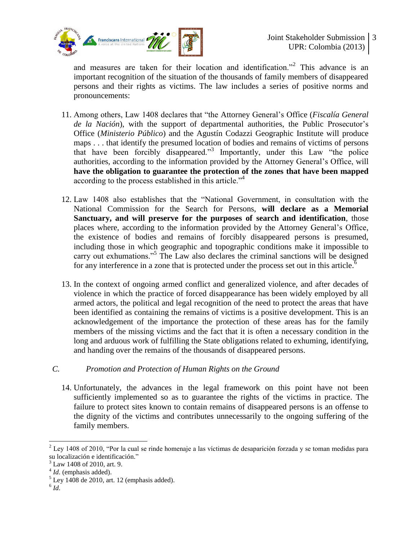

and measures are taken for their location and identification."<sup>2</sup> This advance is an important recognition of the situation of the thousands of family members of disappeared persons and their rights as victims. The law includes a series of positive norms and pronouncements:

- 11. Among others, Law 1408 declares that "the Attorney General's Office (*Fiscalía General de la Nación*), with the support of departmental authorities, the Public Prosecutor's Office (*Ministerio Público*) and the Agustín Codazzi Geographic Institute will produce maps . . . that identify the presumed location of bodies and remains of victims of persons that have been forcibly disappeared."<sup>3</sup> Importantly, under this Law "the police authorities, according to the information provided by the Attorney General's Office, will **have the obligation to guarantee the protection of the zones that have been mapped** according to the process established in this article.<sup>"4</sup>
- 12. Law 1408 also establishes that the "National Government, in consultation with the National Commission for the Search for Persons, **will declare as a Memorial Sanctuary, and will preserve for the purposes of search and identification**, those places where, according to the information provided by the Attorney General's Office, the existence of bodies and remains of forcibly disappeared persons is presumed, including those in which geographic and topographic conditions make it impossible to carry out exhumations."<sup>5</sup> The Law also declares the criminal sanctions will be designed for any interference in a zone that is protected under the process set out in this article.<sup>6</sup>
- 13. In the context of ongoing armed conflict and generalized violence, and after decades of violence in which the practice of forced disappearance has been widely employed by all armed actors, the political and legal recognition of the need to protect the areas that have been identified as containing the remains of victims is a positive development. This is an acknowledgement of the importance the protection of these areas has for the family members of the missing victims and the fact that it is often a necessary condition in the long and arduous work of fulfilling the State obligations related to exhuming, identifying, and handing over the remains of the thousands of disappeared persons.

#### *C. Promotion and Protection of Human Rights on the Ground*

14. Unfortunately, the advances in the legal framework on this point have not been sufficiently implemented so as to guarantee the rights of the victims in practice. The failure to protect sites known to contain remains of disappeared persons is an offense to the dignity of the victims and contributes unnecessarily to the ongoing suffering of the family members.

 $\overline{a}$ 

 $2$  Ley 1408 of 2010, "Por la cual se rinde homenaje a las víctimas de desaparición forzada y se toman medidas para su localización e identificación."

<sup>3</sup> Law 1408 of 2010, art. 9.

<sup>4</sup> *Id*. (emphasis added).

 $<sup>5</sup>$  Ley 1408 de 2010, art. 12 (emphasis added).</sup>

<sup>6</sup> *Id*.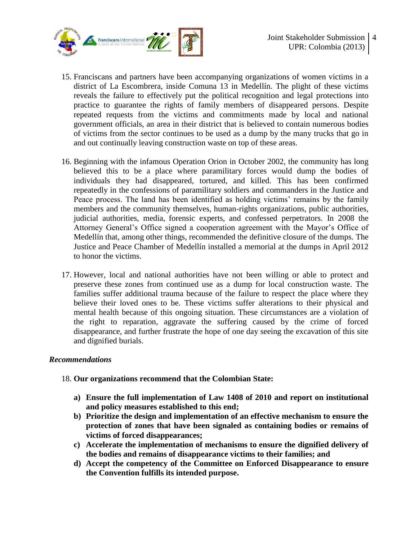

- 15. Franciscans and partners have been accompanying organizations of women victims in a district of La Escombrera, inside Comuna 13 in Medellín. The plight of these victims reveals the failure to effectively put the political recognition and legal protections into practice to guarantee the rights of family members of disappeared persons. Despite repeated requests from the victims and commitments made by local and national government officials, an area in their district that is believed to contain numerous bodies of victims from the sector continues to be used as a dump by the many trucks that go in and out continually leaving construction waste on top of these areas.
- 16. Beginning with the infamous Operation Orion in October 2002, the community has long believed this to be a place where paramilitary forces would dump the bodies of individuals they had disappeared, tortured, and killed. This has been confirmed repeatedly in the confessions of paramilitary soldiers and commanders in the Justice and Peace process. The land has been identified as holding victims' remains by the family members and the community themselves, human-rights organizations, public authorities, judicial authorities, media, forensic experts, and confessed perpetrators. In 2008 the Attorney General's Office signed a cooperation agreement with the Mayor's Office of Medellín that, among other things, recommended the definitive closure of the dumps. The Justice and Peace Chamber of Medellín installed a memorial at the dumps in April 2012 to honor the victims.
- 17. However, local and national authorities have not been willing or able to protect and preserve these zones from continued use as a dump for local construction waste. The families suffer additional trauma because of the failure to respect the place where they believe their loved ones to be. These victims suffer alterations to their physical and mental health because of this ongoing situation. These circumstances are a violation of the right to reparation, aggravate the suffering caused by the crime of forced disappearance, and further frustrate the hope of one day seeing the excavation of this site and dignified burials.

#### *Recommendations*

#### 18. **Our organizations recommend that the Colombian State:**

- **a) Ensure the full implementation of Law 1408 of 2010 and report on institutional and policy measures established to this end;**
- **b) Prioritize the design and implementation of an effective mechanism to ensure the protection of zones that have been signaled as containing bodies or remains of victims of forced disappearances;**
- **c) Accelerate the implementation of mechanisms to ensure the dignified delivery of the bodies and remains of disappearance victims to their families; and**
- **d) Accept the competency of the Committee on Enforced Disappearance to ensure the Convention fulfills its intended purpose.**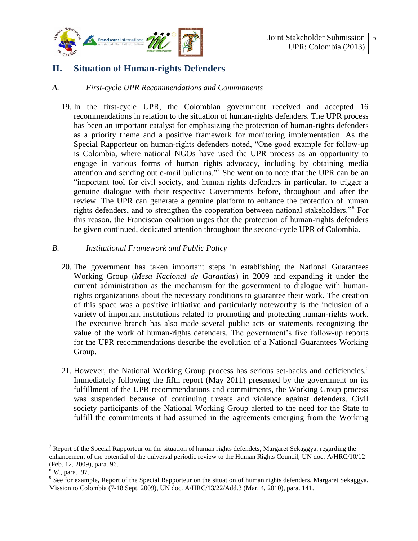

## **II. Situation of Human-rights Defenders**

#### *A. First-cycle UPR Recommendations and Commitments*

19. In the first-cycle UPR, the Colombian government received and accepted 16 recommendations in relation to the situation of human-rights defenders. The UPR process has been an important catalyst for emphasizing the protection of human-rights defenders as a priority theme and a positive framework for monitoring implementation. As the Special Rapporteur on human-rights defenders noted, "One good example for follow-up is Colombia, where national NGOs have used the UPR process as an opportunity to engage in various forms of human rights advocacy, including by obtaining media attention and sending out e-mail bulletins."<sup>7</sup> She went on to note that the UPR can be an "important tool for civil society, and human rights defenders in particular, to trigger a genuine dialogue with their respective Governments before, throughout and after the review. The UPR can generate a genuine platform to enhance the protection of human rights defenders, and to strengthen the cooperation between national stakeholders."<sup>8</sup> For this reason, the Franciscan coalition urges that the protection of human-rights defenders be given continued, dedicated attention throughout the second-cycle UPR of Colombia.

#### *B. Institutional Framework and Public Policy*

- 20. The government has taken important steps in establishing the National Guarantees Working Group (*Mesa Nacional de Garantías*) in 2009 and expanding it under the current administration as the mechanism for the government to dialogue with humanrights organizations about the necessary conditions to guarantee their work. The creation of this space was a positive initiative and particularly noteworthy is the inclusion of a variety of important institutions related to promoting and protecting human-rights work. The executive branch has also made several public acts or statements recognizing the value of the work of human-rights defenders. The government's five follow-up reports for the UPR recommendations describe the evolution of a National Guarantees Working Group.
- 21. However, the National Working Group process has serious set-backs and deficiencies.<sup>9</sup> Immediately following the fifth report (May 2011) presented by the government on its fulfillment of the UPR recommendations and commitments, the Working Group process was suspended because of continuing threats and violence against defenders. Civil society participants of the National Working Group alerted to the need for the State to fulfill the commitments it had assumed in the agreements emerging from the Working

 $\overline{a}$ 

<sup>&</sup>lt;sup>7</sup> Report of the Special Rapporteur on the situation of human rights defendets, Margaret Sekaggya, regarding the enhancement of the potential of the universal periodic review to the Human Rights Council, UN doc. A/HRC/10/12 (Feb. 12, 2009), para. 96.

<sup>8</sup> *Id.*, para. 97.

 $9^9$  See for example, Report of the Special Rapporteur on the situation of human rights defenders, Margaret Sekaggya, Mission to Colombia (7-18 Sept. 2009), UN doc. A/HRC/13/22/Add.3 (Mar. 4, 2010), para. 141.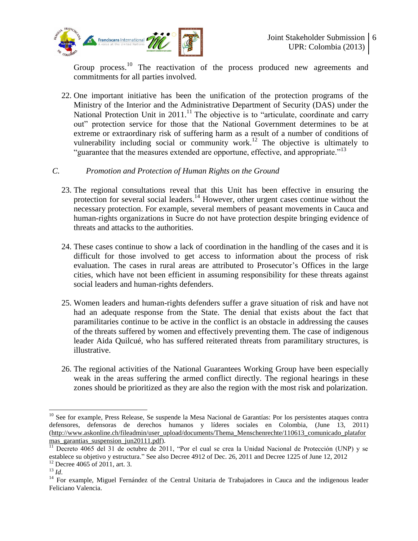

Group process.<sup>10</sup> The reactivation of the process produced new agreements and commitments for all parties involved.

22. One important initiative has been the unification of the protection programs of the Ministry of the Interior and the Administrative Department of Security (DAS) under the National Protection Unit in 2011.<sup>11</sup> The objective is to "articulate, coordinate and carry out" protection service for those that the National Government determines to be at extreme or extraordinary risk of suffering harm as a result of a number of conditions of vulnerability including social or community work.<sup>12</sup> The objective is ultimately to "guarantee that the measures extended are opportune, effective, and appropriate."<sup>13</sup>

#### *C. Promotion and Protection of Human Rights on the Ground*

- 23. The regional consultations reveal that this Unit has been effective in ensuring the protection for several social leaders.<sup>14</sup> However, other urgent cases continue without the necessary protection. For example, several members of peasant movements in Cauca and human-rights organizations in Sucre do not have protection despite bringing evidence of threats and attacks to the authorities.
- 24. These cases continue to show a lack of coordination in the handling of the cases and it is difficult for those involved to get access to information about the process of risk evaluation. The cases in rural areas are attributed to Prosecutor's Offices in the large cities, which have not been efficient in assuming responsibility for these threats against social leaders and human-rights defenders.
- 25. Women leaders and human-rights defenders suffer a grave situation of risk and have not had an adequate response from the State. The denial that exists about the fact that paramilitaries continue to be active in the conflict is an obstacle in addressing the causes of the threats suffered by women and effectively preventing them. The case of indigenous leader Aida Quilcué, who has suffered reiterated threats from paramilitary structures, is illustrative.
- 26. The regional activities of the National Guarantees Working Group have been especially weak in the areas suffering the armed conflict directly. The regional hearings in these zones should be prioritized as they are also the region with the most risk and polarization.

 $\overline{a}$ 

<sup>&</sup>lt;sup>10</sup> See for example, Press Release, Se suspende la Mesa Nacional de Garantías: Por los persistentes ataques contra defensores, defensoras de derechos humanos y líderes sociales en Colombia, (June 13, 2011) [\(http://www.askonline.ch/fileadmin/user\\_upload/documents/Thema\\_Menschenrechte/110613\\_comunicado\\_platafor](http://www.askonline.ch/fileadmin/user_upload/documents/Thema_Menschenrechte/110613_comunicado_plataformas_garantias_suspension_jun20111.pdf) mas garantias suspension jun20111.pdf).

 $\frac{11}{11}$  Decreto 4065 del 31 de octubre de 2011, "Por el cual se crea la Unidad Nacional de Protección (UNP) y se establece su objetivo y estructura." See also Decree 4912 of Dec. 26, 2011 and Decree 1225 of June 12, 2012  $12$  Decree 4065 of 2011, art. 3.

<sup>13</sup> *Id*.

<sup>&</sup>lt;sup>14</sup> For example, Miguel Fernández of the Central Unitaria de Trabajadores in Cauca and the indigenous leader Feliciano Valencia.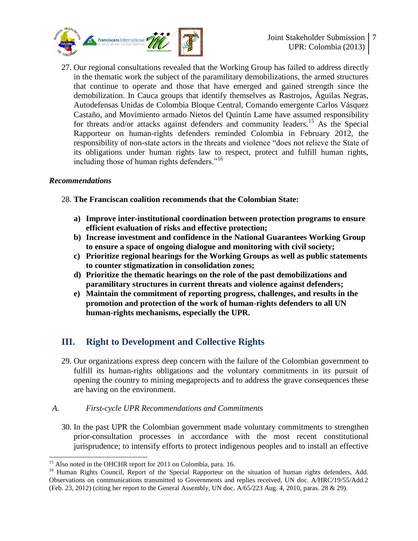

27. Our regional consultations revealed that the Working Group has failed to address directly in the thematic work the subject of the paramilitary demobilizations, the armed structures that continue to operate and those that have emerged and gained strength since the demobilization. In Cauca groups that identify themselves as Rastrojos, Águilas Negras, Autodefensas Unidas de Colombia Bloque Central, Comando emergente Carlos Vásquez Castaño, and Movimiento armado Nietos del Quintín Lame have assumed responsibility for threats and/or attacks against defenders and community leaders.<sup>15</sup> As the Special Rapporteur on human-rights defenders reminded Colombia in February 2012, the responsibility of non-state actors in the threats and violence "does not relieve the State of its obligations under human rights law to respect, protect and fulfill human rights, including those of human rights defenders."<sup>16</sup>

#### *Recommendations*

 $\overline{a}$ 

#### 28. **The Franciscan coalition recommends that the Colombian State:**

- **a) Improve inter-institutional coordination between protection programs to ensure efficient evaluation of risks and effective protection;**
- **b) Increase investment and confidence in the National Guarantees Working Group to ensure a space of ongoing dialogue and monitoring with civil society;**
- **c) Prioritize regional hearings for the Working Groups as well as public statements to counter stigmatization in consolidation zones;**
- **d) Prioritize the thematic hearings on the role of the past demobilizations and paramilitary structures in current threats and violence against defenders;**
- **e) Maintain the commitment of reporting progress, challenges, and results in the promotion and protection of the work of human-rights defenders to all UN human-rights mechanisms, especially the UPR.**

## **III. Right to Development and Collective Rights**

29. Our organizations express deep concern with the failure of the Colombian government to fulfill its human-rights obligations and the voluntary commitments in its pursuit of opening the country to mining megaprojects and to address the grave consequences these are having on the environment.

#### *A. First-cycle UPR Recommendations and Commitments*

30. In the past UPR the Colombian government made voluntary commitments to strengthen prior-consultation processes in accordance with the most recent constitutional jurisprudence; to intensify efforts to protect indigenous peoples and to install an effective

<sup>&</sup>lt;sup>15</sup> Also noted in the OHCHR report for 2011 on Colombia, para. 16.

<sup>&</sup>lt;sup>16</sup> Human Rights Council, Report of the Special Rapporteur on the situation of human rights defenders, Add. Observations on communications transmitted to Governments and replies received, UN doc. A/HRC/19/55/Add.2 (Feb. 23, 2012) (citing her report to the General Assembly, UN doc. A/65/223 Aug. 4, 2010, paras. 28 & 29).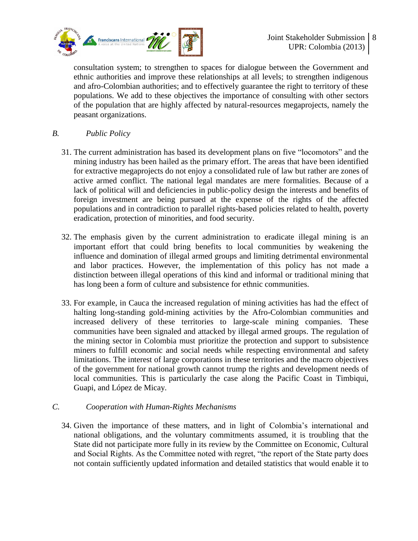

consultation system; to strengthen to spaces for dialogue between the Government and ethnic authorities and improve these relationships at all levels; to strengthen indigenous and afro-Colombian authorities; and to effectively guarantee the right to territory of these populations. We add to these objectives the importance of consulting with other sectors of the population that are highly affected by natural-resources megaprojects, namely the peasant organizations.

#### *B. Public Policy*

- 31. The current administration has based its development plans on five "locomotors" and the mining industry has been hailed as the primary effort. The areas that have been identified for extractive megaprojects do not enjoy a consolidated rule of law but rather are zones of active armed conflict. The national legal mandates are mere formalities. Because of a lack of political will and deficiencies in public-policy design the interests and benefits of foreign investment are being pursued at the expense of the rights of the affected populations and in contradiction to parallel rights-based policies related to health, poverty eradication, protection of minorities, and food security.
- 32. The emphasis given by the current administration to eradicate illegal mining is an important effort that could bring benefits to local communities by weakening the influence and domination of illegal armed groups and limiting detrimental environmental and labor practices. However, the implementation of this policy has not made a distinction between illegal operations of this kind and informal or traditional mining that has long been a form of culture and subsistence for ethnic communities.
- 33. For example, in Cauca the increased regulation of mining activities has had the effect of halting long-standing gold-mining activities by the Afro-Colombian communities and increased delivery of these territories to large-scale mining companies. These communities have been signaled and attacked by illegal armed groups. The regulation of the mining sector in Colombia must prioritize the protection and support to subsistence miners to fulfill economic and social needs while respecting environmental and safety limitations. The interest of large corporations in these territories and the macro objectives of the government for national growth cannot trump the rights and development needs of local communities. This is particularly the case along the Pacific Coast in Timbiqui, Guapi, and López de Micay.

#### *C. Cooperation with Human-Rights Mechanisms*

34. Given the importance of these matters, and in light of Colombia's international and national obligations, and the voluntary commitments assumed, it is troubling that the State did not participate more fully in its review by the Committee on Economic, Cultural and Social Rights. As the Committee noted with regret, "the report of the State party does not contain sufficiently updated information and detailed statistics that would enable it to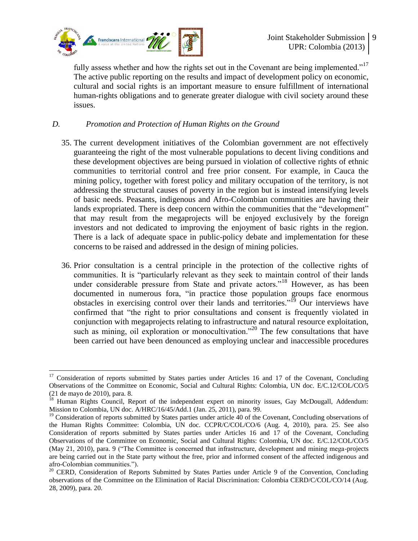

 $\overline{a}$ 

fully assess whether and how the rights set out in the Covenant are being implemented." $17$ The active public reporting on the results and impact of development policy on economic, cultural and social rights is an important measure to ensure fulfillment of international human-rights obligations and to generate greater dialogue with civil society around these issues.

#### *D. Promotion and Protection of Human Rights on the Ground*

- 35. The current development initiatives of the Colombian government are not effectively guaranteeing the right of the most vulnerable populations to decent living conditions and these development objectives are being pursued in violation of collective rights of ethnic communities to territorial control and free prior consent. For example, in Cauca the mining policy, together with forest policy and military occupation of the territory, is not addressing the structural causes of poverty in the region but is instead intensifying levels of basic needs. Peasants, indigenous and Afro-Colombian communities are having their lands expropriated. There is deep concern within the communities that the "development" that may result from the megaprojects will be enjoyed exclusively by the foreign investors and not dedicated to improving the enjoyment of basic rights in the region. There is a lack of adequate space in public-policy debate and implementation for these concerns to be raised and addressed in the design of mining policies.
- 36. Prior consultation is a central principle in the protection of the collective rights of communities. It is "particularly relevant as they seek to maintain control of their lands under considerable pressure from State and private actors."<sup>18</sup> However, as has been documented in numerous fora, "in practice those population groups face enormous obstacles in exercising control over their lands and territories."<sup>19</sup> Our interviews have confirmed that "the right to prior consultations and consent is frequently violated in conjunction with megaprojects relating to infrastructure and natural resource exploitation, such as mining, oil exploration or monocultivation."<sup>20</sup> The few consultations that have been carried out have been denounced as employing unclear and inaccessible procedures

<sup>&</sup>lt;sup>17</sup> Consideration of reports submitted by States parties under Articles 16 and 17 of the Covenant, Concluding Observations of the Committee on Economic, Social and Cultural Rights: Colombia, UN doc. E/C.12/COL/CO/5 (21 de mayo de 2010), para. 8.

<sup>&</sup>lt;sup>18</sup> Human Rights Council, Report of the independent expert on minority issues, Gay McDougall, Addendum: Mission to Colombia, UN doc. A/HRC/16/45/Add.1 (Jan. 25, 2011), para. 99.

 $19$  Consideration of reports submitted by States parties under article  $40$  of the Covenant, Concluding observations of the Human Rights Committee: Colombia, UN doc. CCPR/C/COL/CO/6 (Aug. 4, 2010), para. 25. See also Consideration of reports submitted by States parties under Articles 16 and 17 of the Covenant, Concluding Observations of the Committee on Economic, Social and Cultural Rights: Colombia, UN doc. E/C.12/COL/CO/5 (May 21, 2010), para. 9 ("The Committee is concerned that infrastructure, development and mining mega-projects are being carried out in the State party without the free, prior and informed consent of the affected indigenous and afro-Colombian communities.").

 $20$  CERD, Consideration of Reports Submitted by States Parties under Article 9 of the Convention, Concluding observations of the Committee on the Elimination of Racial Discrimination: Colombia CERD/C/COL/CO/14 (Aug. 28, 2009), para. 20.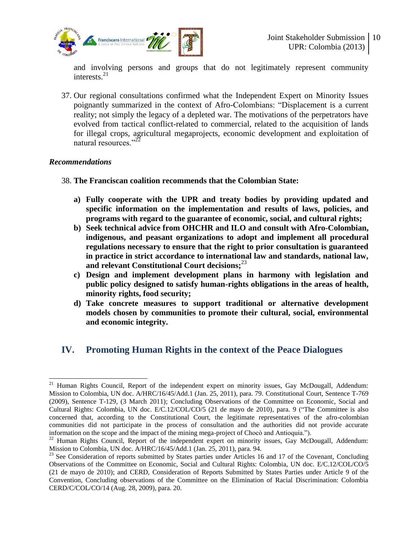

and involving persons and groups that do not legitimately represent community interests.<sup>21</sup>

37. Our regional consultations confirmed what the Independent Expert on Minority Issues poignantly summarized in the context of Afro-Colombians: "Displacement is a current reality; not simply the legacy of a depleted war. The motivations of the perpetrators have evolved from tactical conflict-related to commercial, related to the acquisition of lands for illegal crops, agricultural megaprojects, economic development and exploitation of natural resources<sup>"22</sup>

#### *Recommendations*

- 38. **The Franciscan coalition recommends that the Colombian State:**
	- **a) Fully cooperate with the UPR and treaty bodies by providing updated and specific information on the implementation and results of laws, policies, and programs with regard to the guarantee of economic, social, and cultural rights;**
	- **b) Seek technical advice from OHCHR and ILO and consult with Afro-Colombian, indigenous, and peasant organizations to adopt and implement all procedural regulations necessary to ensure that the right to prior consultation is guaranteed in practice in strict accordance to international law and standards, national law, and relevant Constitutional Court decisions;**<sup>23</sup>
	- **c) Design and implement development plans in harmony with legislation and public policy designed to satisfy human-rights obligations in the areas of health, minority rights, food security;**
	- **d) Take concrete measures to support traditional or alternative development models chosen by communities to promote their cultural, social, environmental and economic integrity.**

## **IV. Promoting Human Rights in the context of the Peace Dialogues**

 $\overline{a}$  $21$  Human Rights Council, Report of the independent expert on minority issues, Gay McDougall, Addendum: Mission to Colombia, UN doc. A/HRC/16/45/Add.1 (Jan. 25, 2011), para. 79. Constitutional Court, Sentence T-769 (2009), Sentence T-129, (3 March 2011); Concluding Observations of the Committee on Economic, Social and Cultural Rights: Colombia, UN doc. E/C.12/COL/CO/5 (21 de mayo de 2010), para. 9 ("The Committee is also concerned that, according to the Constitutional Court, the legitimate representatives of the afro-colombian communities did not participate in the process of consultation and the authorities did not provide accurate information on the scope and the impact of the mining mega-project of Chocò and Antioquia.").

 $^{22}$  Human Rights Council, Report of the independent expert on minority issues, Gay McDougall, Addendum: Mission to Colombia, UN doc. A/HRC/16/45/Add.1 (Jan. 25, 2011), para. 94.

 $^{23}$  See Consideration of reports submitted by States parties under Articles 16 and 17 of the Covenant, Concluding Observations of the Committee on Economic, Social and Cultural Rights: Colombia, UN doc. E/C.12/COL/CO/5 (21 de mayo de 2010); and CERD, Consideration of Reports Submitted by States Parties under Article 9 of the Convention, Concluding observations of the Committee on the Elimination of Racial Discrimination: Colombia CERD/C/COL/CO/14 (Aug. 28, 2009), para. 20.